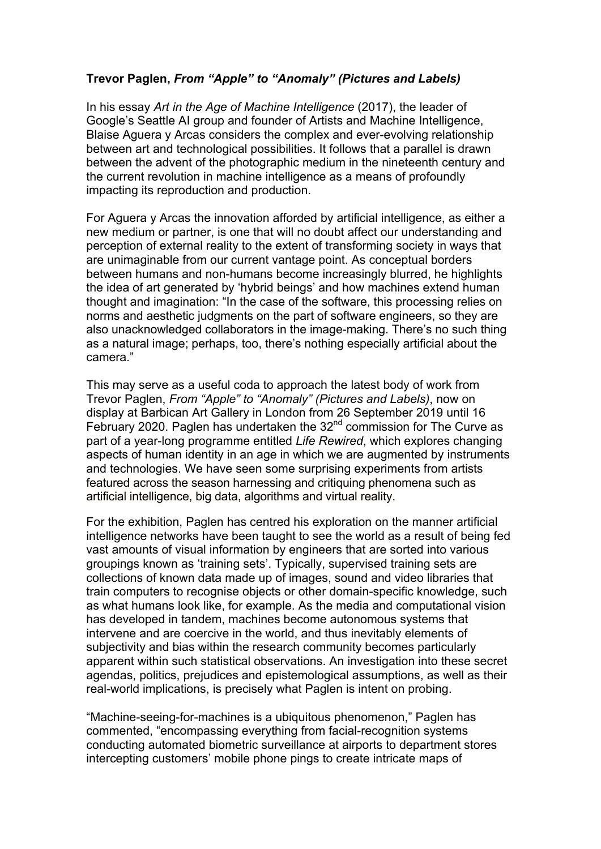## **Trevor Paglen,** *From "Apple" to "Anomaly" (Pictures and Labels)*

In his essay *Art in the Age of Machine Intelligence* (2017), the leader of Google's Seattle AI group and founder of Artists and Machine Intelligence, Blaise Aguera y Arcas considers the complex and ever-evolving relationship between art and technological possibilities. It follows that a parallel is drawn between the advent of the photographic medium in the nineteenth century and the current revolution in machine intelligence as a means of profoundly impacting its reproduction and production.

For Aguera y Arcas the innovation afforded by artificial intelligence, as either a new medium or partner, is one that will no doubt affect our understanding and perception of external reality to the extent of transforming society in ways that are unimaginable from our current vantage point. As conceptual borders between humans and non-humans become increasingly blurred, he highlights the idea of art generated by 'hybrid beings' and how machines extend human thought and imagination: "In the case of the software, this processing relies on norms and aesthetic judgments on the part of software engineers, so they are also unacknowledged collaborators in the image-making. There's no such thing as a natural image; perhaps, too, there's nothing especially artificial about the camera."

This may serve as a useful coda to approach the latest body of work from Trevor Paglen, *From "Apple" to "Anomaly" (Pictures and Labels)*, now on display at Barbican Art Gallery in London from 26 September 2019 until 16 February 2020. Paglen has undertaken the  $32<sup>nd</sup>$  commission for The Curve as part of a year-long programme entitled *Life Rewired*, which explores changing aspects of human identity in an age in which we are augmented by instruments and technologies. We have seen some surprising experiments from artists featured across the season harnessing and critiquing phenomena such as artificial intelligence, big data, algorithms and virtual reality.

For the exhibition, Paglen has centred his exploration on the manner artificial intelligence networks have been taught to see the world as a result of being fed vast amounts of visual information by engineers that are sorted into various groupings known as 'training sets'. Typically, supervised training sets are collections of known data made up of images, sound and video libraries that train computers to recognise objects or other domain-specific knowledge, such as what humans look like, for example. As the media and computational vision has developed in tandem, machines become autonomous systems that intervene and are coercive in the world, and thus inevitably elements of subjectivity and bias within the research community becomes particularly apparent within such statistical observations. An investigation into these secret agendas, politics, prejudices and epistemological assumptions, as well as their real-world implications, is precisely what Paglen is intent on probing.

"Machine-seeing-for-machines is a ubiquitous phenomenon," Paglen has commented, "encompassing everything from facial-recognition systems conducting automated biometric surveillance at airports to department stores intercepting customers' mobile phone pings to create intricate maps of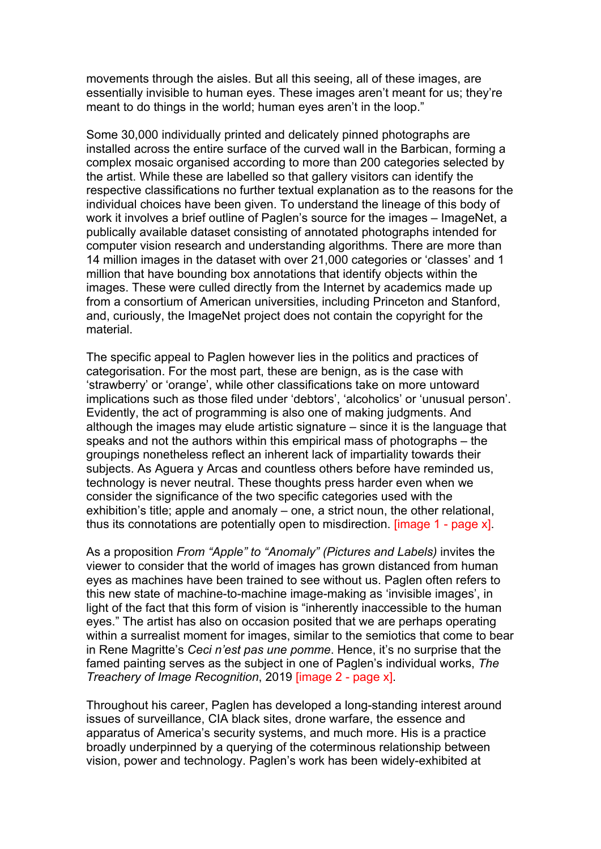movements through the aisles. But all this seeing, all of these images, are essentially invisible to human eyes. These images aren't meant for us; they're meant to do things in the world; human eyes aren't in the loop."

Some 30,000 individually printed and delicately pinned photographs are installed across the entire surface of the curved wall in the Barbican, forming a complex mosaic organised according to more than 200 categories selected by the artist. While these are labelled so that gallery visitors can identify the respective classifications no further textual explanation as to the reasons for the individual choices have been given. To understand the lineage of this body of work it involves a brief outline of Paglen's source for the images – ImageNet, a publically available dataset consisting of annotated photographs intended for computer vision research and understanding algorithms. There are more than 14 million images in the dataset with over 21,000 categories or 'classes' and 1 million that have bounding box annotations that identify objects within the images. These were culled directly from the Internet by academics made up from a consortium of American universities, including Princeton and Stanford, and, curiously, the ImageNet project does not contain the copyright for the material.

The specific appeal to Paglen however lies in the politics and practices of categorisation. For the most part, these are benign, as is the case with 'strawberry' or 'orange', while other classifications take on more untoward implications such as those filed under 'debtors', 'alcoholics' or 'unusual person'. Evidently, the act of programming is also one of making judgments. And although the images may elude artistic signature – since it is the language that speaks and not the authors within this empirical mass of photographs – the groupings nonetheless reflect an inherent lack of impartiality towards their subjects. As Aguera y Arcas and countless others before have reminded us, technology is never neutral. These thoughts press harder even when we consider the significance of the two specific categories used with the exhibition's title; apple and anomaly – one, a strict noun, the other relational, thus its connotations are potentially open to misdirection. [image 1 - page x].

As a proposition *From "Apple" to "Anomaly" (Pictures and Labels)* invites the viewer to consider that the world of images has grown distanced from human eyes as machines have been trained to see without us. Paglen often refers to this new state of machine-to-machine image-making as 'invisible images', in light of the fact that this form of vision is "inherently inaccessible to the human eyes." The artist has also on occasion posited that we are perhaps operating within a surrealist moment for images, similar to the semiotics that come to bear in Rene Magritte's *Ceci n'est pas une pomme*. Hence, it's no surprise that the famed painting serves as the subject in one of Paglen's individual works, *The Treachery of Image Recognition*, 2019 [image 2 - page x].

Throughout his career, Paglen has developed a long-standing interest around issues of surveillance, CIA black sites, drone warfare, the essence and apparatus of America's security systems, and much more. His is a practice broadly underpinned by a querying of the coterminous relationship between vision, power and technology. Paglen's work has been widely-exhibited at